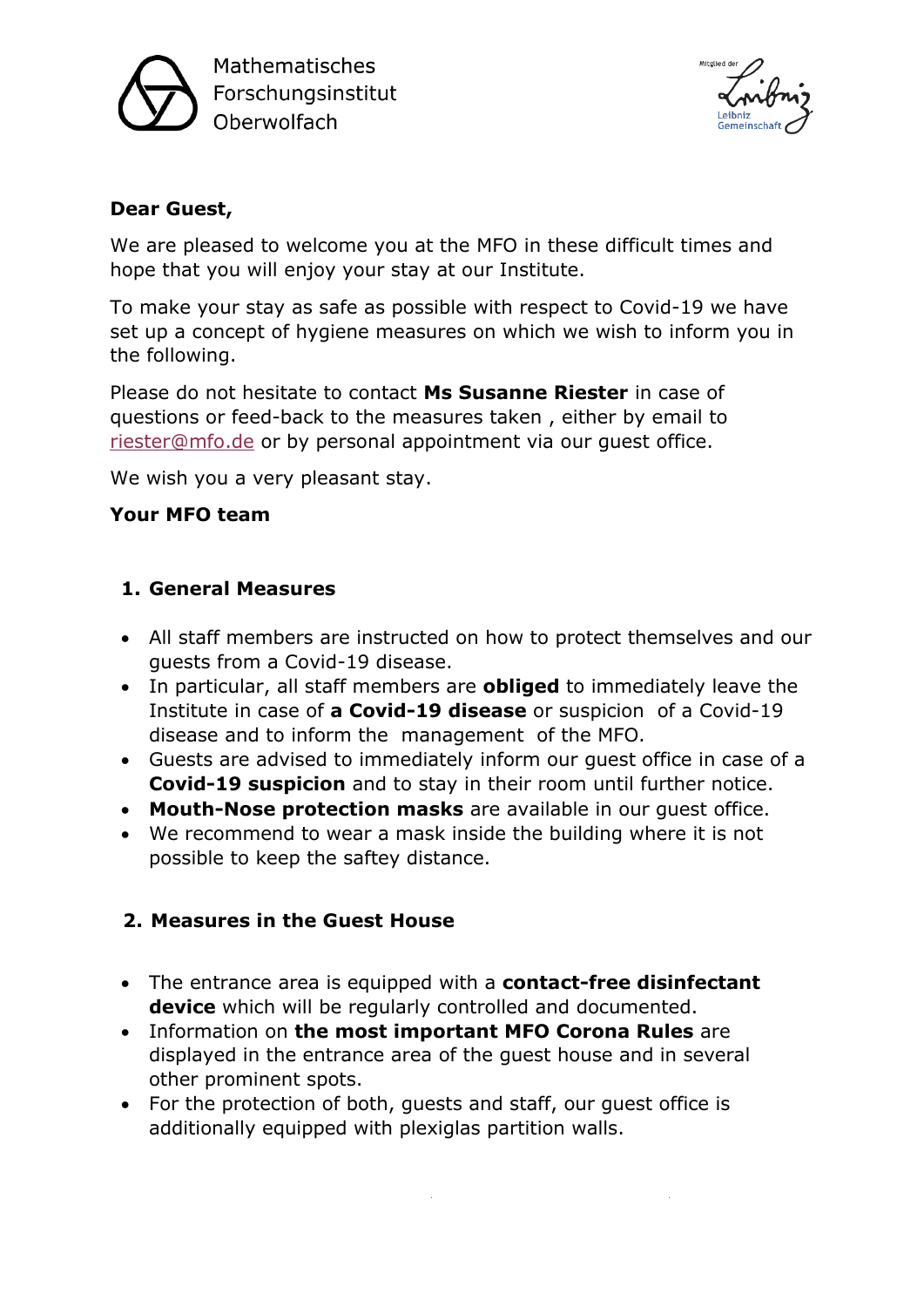

Mathematisches Forschungsinstitut Oberwolfach



#### **Dear Guest,**

We are pleased to welcome you at the MFO in these difficult times and hope that you will enjoy your stay at our Institute.

To make your stay as safe as possible with respect to Covid-19 we have set up a concept of hygiene measures on which we wish to inform you in the following.

Please do not hesitate to contact **Ms Susanne Riester** in case of questions or feed-back to the measures taken , either by email to [riester@mfo.de](mailto:riester@mfo.de) or by personal appointment via our guest office.

We wish you a very pleasant stay.

# **Your MFO team**

#### **1. General Measures**

- All staff members are instructed on how to protect themselves and our guests from a Covid-19 disease.
- In particular, all staff members are **obliged** to immediately leave the Institute in case of **a Covid-19 disease** or suspicion of a Covid-19 disease and to inform the management of the MFO.
- Guests are advised to immediately inform our guest office in case of a **Covid-19 suspicion** and to stay in their room until further notice.
- **Mouth-Nose protection masks** are available in our guest office.
- We recommend to wear a mask inside the building where it is not possible to keep the saftey distance.

# **2. Measures in the Guest House**

- The entrance area is equipped with a **contact-free disinfectant device** which will be regularly controlled and documented.
- Information on **the most important MFO Corona Rules** are displayed in the entrance area of the guest house and in several other prominent spots.
- For the protection of both, guests and staff, our guest office is additionally equipped with plexiglas partition walls.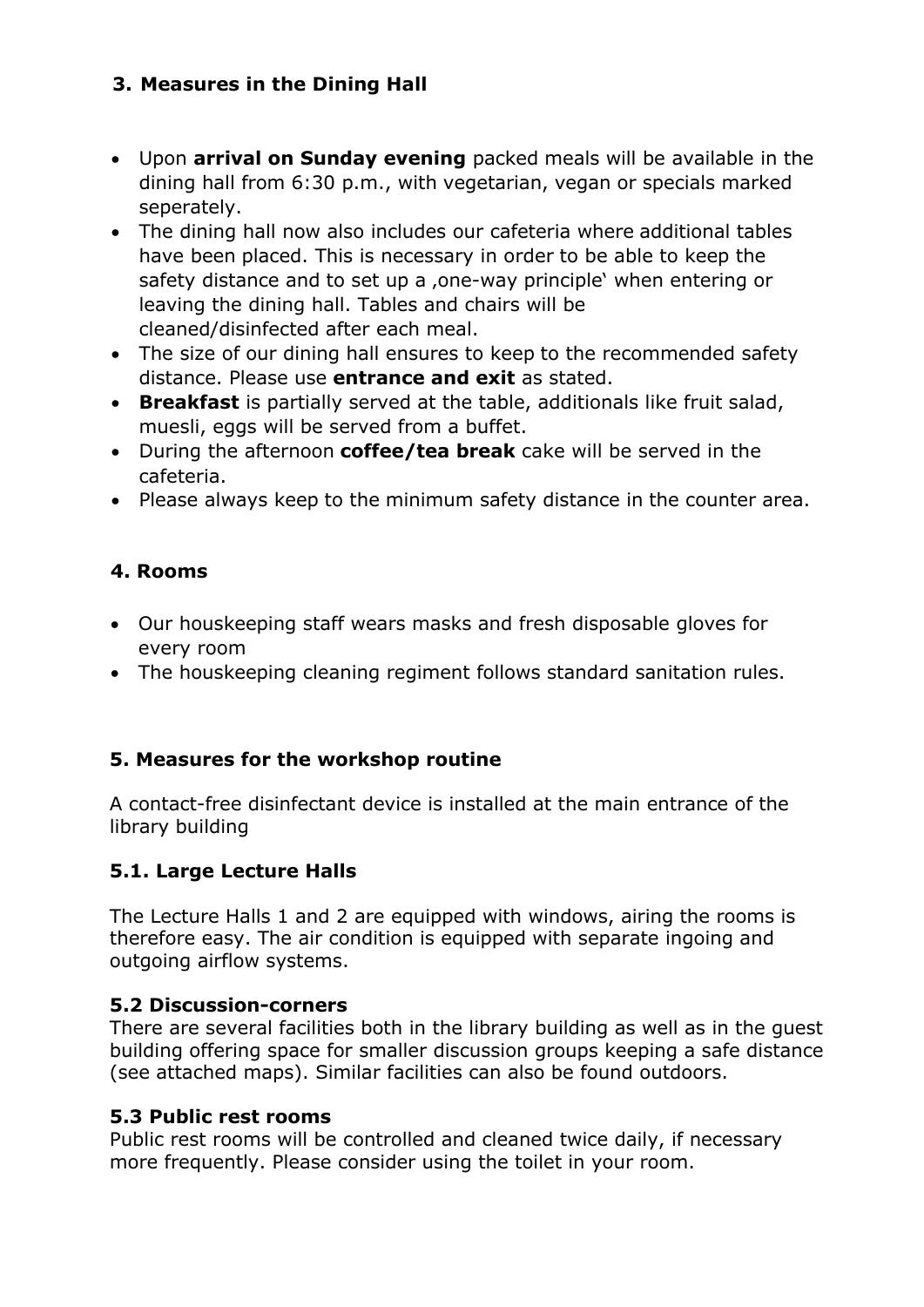# **3. Measures in the Dining Hall**

- Upon **arrival on Sunday evening** packed meals will be available in the dining hall from 6:30 p.m., with vegetarian, vegan or specials marked seperately.
- The dining hall now also includes our cafeteria where additional tables have been placed. This is necessary in order to be able to keep the safety distance and to set up a , one-way principle' when entering or leaving the dining hall. Tables and chairs will be cleaned/disinfected after each meal.
- The size of our dining hall ensures to keep to the recommended safety distance. Please use **entrance and exit** as stated.
- **Breakfast** is partially served at the table, additionals like fruit salad, muesli, eggs will be served from a buffet.
- During the afternoon **coffee/tea break** cake will be served in the cafeteria.
- Please always keep to the minimum safety distance in the counter area.

# **4. Rooms**

- Our houskeeping staff wears masks and fresh disposable gloves for every room
- The houskeeping cleaning regiment follows standard sanitation rules.

# **5. Measures for the workshop routine**

A contact-free disinfectant device is installed at the main entrance of the library building

# **5.1. Large Lecture Halls**

The Lecture Halls 1 and 2 are equipped with windows, airing the rooms is therefore easy. The air condition is equipped with separate ingoing and outgoing airflow systems.

#### **5.2 Discussion-corners**

There are several facilities both in the library building as well as in the guest building offering space for smaller discussion groups keeping a safe distance (see attached maps). Similar facilities can also be found outdoors.

#### **5.3 Public rest rooms**

Public rest rooms will be controlled and cleaned twice daily, if necessary more frequently. Please consider using the toilet in your room.